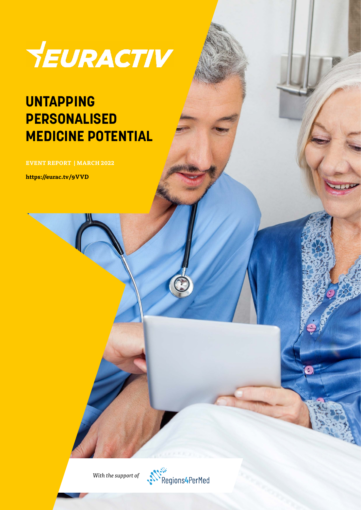

### **UNTAPPING PERSONALISED MEDICINE POTENTIAL**

**EVENT REPORT | MARCH 2022**

**https://eurac.tv/9VVD**

*With the support of*

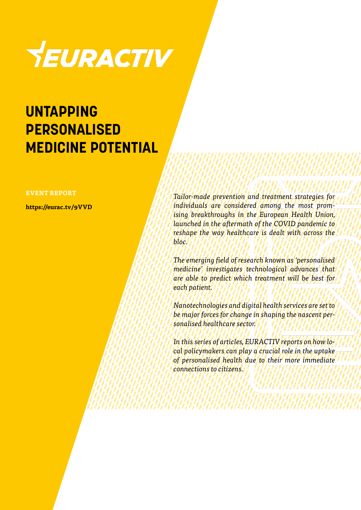

### **UNTAPPING PERSONALISED MEDICINE POTENTIAL**

#### **EVENT REPORT**

**https://eurac.tv/9VVD**

*Tailor-made prevention and treatment strategies for individuals are considered among the most promising breakthroughs in the European Health Union, launched in the aftermath of the COVID pandemic to reshape the way healthcare is dealt with across the bloc.*

*The emerging field of research known as 'personalised medicine' investigates technological advances that are able to predict which treatment will be best for each patient.*

*Nanotechnologies and digital health services are set to be major forces for change in shaping the nascent personalised healthcare sector.*

*In this series of articles, EURACTIV reports on how local policymakers can play a crucial role in the uptake of personalised health due to their more immediate connections to citizens.*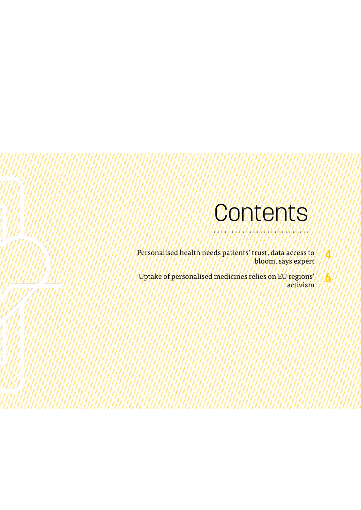## Contents

**4**

**6**

Personalised health needs patients' trust, data access to bloom, says expert

Uptake of personalised medicines relies on EU regions' activism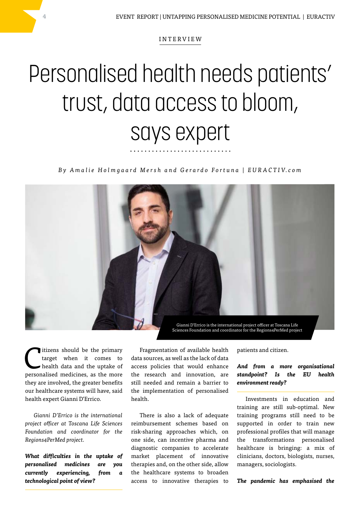#### INTERVIEW

# Personalised health needs patients' trust, data access to bloom, says expert

*By A malie Holmgaard Mersh and Gerardo Fortuna* | EURACTIV.com



The should be the primary<br>
target when it comes to<br>
health data and the uptake of target when it comes to personalised medicines, as the more they are involved, the greater benefits our healthcare systems will have, said health expert Gianni D'Errico.

*Gianni D'Errico is the international project officer at Toscana Life Sciences Foundation and coordinator for the Regions4PerMed project.*

*What difficulties in the uptake of personalised medicines are you currently experiencing, from a technological point of view?*

Fragmentation of available health data sources, as well as the lack of data access policies that would enhance the research and innovation, are still needed and remain a barrier to the implementation of personalised health.

There is also a lack of adequate reimbursement schemes based on risk-sharing approaches which, on one side, can incentive pharma and diagnostic companies to accelerate market placement of innovative therapies and, on the other side, allow the healthcare systems to broaden access to innovative therapies to

patients and citizen.

#### *And from a more organisational standpoint? Is the EU health environment ready?*

Investments in education and training are still sub-optimal. New training programs still need to be supported in order to train new professional profiles that will manage the transformations personalised healthcare is bringing: a mix of clinicians, doctors, biologists, nurses, managers, sociologists.

*The pandemic has emphasised the*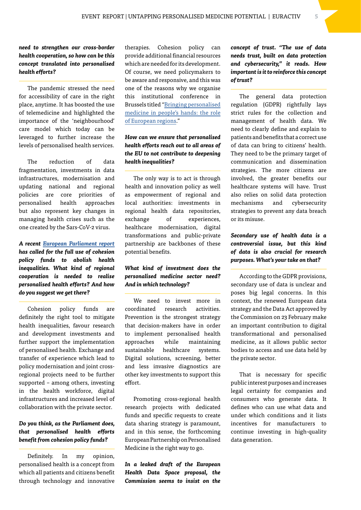*need to strengthen our cross-border health cooperation, so how can be this concept translated into personalised health efforts?*

The pandemic stressed the need for accessibility of care in the right place, anytime. It has boosted the use of telemedicine and highlighted the importance of the 'neighbourhood' care model which today can be leveraged to further increase the levels of personalised health services.

The reduction of data fragmentation, investments in data infrastructures, modernisation and updating national and regional policies are core priorities of personalised health approaches but also represent key changes in managing health crises such as the one created by the Sars-CoV-2 virus.

*A recent [European Parliament report](https://www.euractiv.com/section/health-consumers/news/meps-support-making-full-use-of-cohesion-policy-to-abolish-health-inequalities/)  has called for the full use of cohesion policy funds to abolish health inequalities. What kind of regional cooperation is needed to realise personalised health efforts? And how do you suggest we get there?*

Cohesion policy funds are definitely the right tool to mitigate health inequalities, favour research and development investments and further support the implementation of personalised health. Exchange and transfer of experience which lead to policy modernisation and joint crossregional projects need to be further supported – among others, investing in the health workforce, digital infrastructures and increased level of collaboration with the private sector.

#### *Do you think, as the Parliament does, that personalised health efforts benefit from cohesion policy funds?*

Definitely. In my opinion, personalised health is a concept from which all patients and citizens benefit through technology and innovative

therapies. Cohesion policy can provide additional financial resources which are needed for its development. Of course, we need policymakers to be aware and responsive, and this was one of the reasons why we organise this institutional conference in Brussels titled ["Bringing personalised](https://www.regions4permed.eu/eventi/bringing-personalised-medicine-in-peoples-hands-the-role-of-european-regions/)  [medicine in people's hands: the role](https://www.regions4permed.eu/eventi/bringing-personalised-medicine-in-peoples-hands-the-role-of-european-regions/)  [of European regions.](https://www.regions4permed.eu/eventi/bringing-personalised-medicine-in-peoples-hands-the-role-of-european-regions/)"

#### *How can we ensure that personalised health efforts reach out to all areas of the EU to not contribute to deepening health inequalities?*

The only way is to act is through health and innovation policy as well as empowerment of regional and local authorities: investments in regional health data repositories, exchange of experiences, healthcare modernisation, digital transformations and public-private partnership are backbones of these potential benefits.

#### *What kind of investment does the personalised medicine sector need? And in which technology?*

We need to invest more in coordinated research activities. Prevention is the strongest strategy that decision-makers have in order to implement personalised health approaches while maintaining sustainable healthcare systems. Digital solutions, screening, better and less invasive diagnostics are other key investments to support this effort.

Promoting cross-regional health research projects with dedicated funds and specific requests to create data sharing strategy is paramount, and in this sense, the forthcoming European Partnership on Personalised Medicine is the right way to go.

*In a leaked draft of the European Health Data Space proposal, the Commission seems to insist on the* 

*concept of trust. "The use of data needs trust, built on data protection and cybersecurity," it reads. How important is it to reinforce this concept of trust?*

The general data protection regulation (GDPR) rightfully lays strict rules for the collection and management of health data. We need to clearly define and explain to patients and benefits that a correct use of data can bring to citizens' health. They need to be the primary target of communication and dissemination strategies. The more citizens are involved, the greater benefits our healthcare systems will have. Trust also relies on solid data protection mechanisms and cybersecurity strategies to prevent any data breach or its misuse.

#### *Secondary use of health data is a controversial issue, but this kind of data is also crucial for research purposes. What's your take on that?*

According to the GDPR provisions, secondary use of data is unclear and poses big legal concerns. In this context, the renewed European data strategy and the Data Act approved by the Commission on 23 February make an important contribution to digital transformational and personalised medicine, as it allows public sector bodies to access and use data held by the private sector.

That is necessary for specific public interest purposes and increases legal certainty for companies and consumers who generate data. It defines who can use what data and under which conditions and it lists incentives for manufacturers to continue investing in high-quality data generation.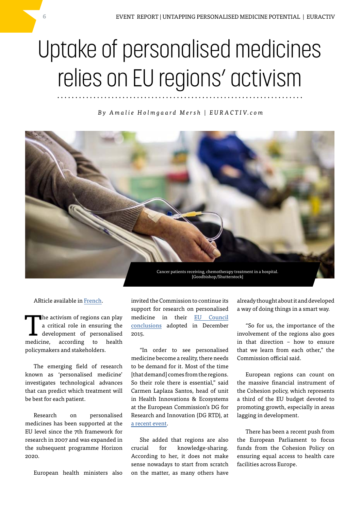# Uptake of personalised medicines relies on EU regions' activism

*B y A m a l i e H o l m g a a r d M e r s h | E U R A C T I V. c o m*



Af ticle available i[n Frenc](https://www.euractiv.fr/section/sante-modes-de-vie/news/les-regions-de-lue-necessaires-pour-generaliser-la-medecine-personnalisee/?_ga=2.164357055.1421440468.1648463330-1399841842.1643883858)h.

The activism of regions can play<br>a critical role in ensuring the<br>development of personalised<br>medicine. according to health a critical role in ensuring the development of personalised according policymakers and stakeholders.

The emerging field of research known as 'personalised medicine' investigates technological advances that can predict which treatment will be best for each patient.

Research on personalised medicines has been supported at the EU level since the 7th framework for research in 2007 and was expanded in the subsequent programme Horizon 2020.

European health ministers also

invited the Commission to continue its support for research on personalised medicine in their [EU Council](https://data.consilium.europa.eu/doc/document/ST-15054-2015-INIT/en/pdf)  [conclusions](https://data.consilium.europa.eu/doc/document/ST-15054-2015-INIT/en/pdf) adopted in December 2015.

"In order to see personalised medicine become a reality, there needs to be demand for it. Most of the time [that demand] comes from the regions. So their role there is essential," said Carmen Laplaza Santos, head of unit in Health Innovations & Ecosystems at the European Commission's DG for Research and Innovation (DG RTD), at [a recent event.](https://www.regions4permed.eu/eventi/bringing-personalised-medicine-in-peoples-hands-the-role-of-european-regions/)

She added that regions are also crucial for knowledge-sharing. According to her, it does not make sense nowadays to start from scratch on the matter, as many others have

already thought about it and developed a way of doing things in a smart way.

"So for us, the importance of the involvement of the regions also goes in that direction – how to ensure that we learn from each other," the Commission official said.

European regions can count on the massive financial instrument of the Cohesion policy, which represents a third of the EU budget devoted to promoting growth, especially in areas lagging in development.

There has been a recent push from the European Parliament to focus funds from the Cohesion Policy on ensuring equal access to health care facilities across Europe.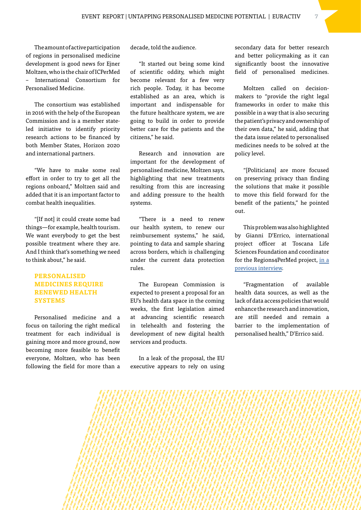The amount of active participation of regions in personalised medicine development is good news for Ejner Moltzen, who is the chair of ICPerMed – International Consortium for Personalised Medicine.

The consortium was established in 2016 with the help of the European Commission and is a member stateled initiative to identify priority research actions to be financed by both Member States, Horizon 2020 and international partners.

"We have to make some real effort in order to try to get all the regions onboard," Moltzen said and added that it is an important factor to combat health inequalities.

"[If not] it could create some bad things—for example, health tourism. We want everybody to get the best possible treatment where they are. And I think that's something we need to think about," he said.

### **PERSONALISED MEDICINES REQUIRE RENEWED HEALTH SYSTEMS**

Personalised medicine and a focus on tailoring the right medical treatment for each individual is gaining more and more ground, now becoming more feasible to benefit everyone, Moltzen, who has been following the field for more than a

decade, told the audience.

"It started out being some kind of scientific oddity, which might become relevant for a few very rich people. Today, it has become established as an area, which is important and indispensable for the future healthcare system, we are going to build in order to provide better care for the patients and the citizens," he said.

Research and innovation are important for the development of personalised medicine, Moltzen says, highlighting that new treatments resulting from this are increasing and adding pressure to the health systems.

"There is a need to renew our health system, to renew our reimbursement systems," he said, pointing to data and sample sharing across borders, which is challenging under the current data protection rules.

The European Commission is expected to present a proposal for an EU's health data space in the coming weeks, the first legislation aimed at advancing scientific research in telehealth and fostering the development of new digital health services and products.

In a leak of the proposal, the EU executive appears to rely on using secondary data for better research and better policymaking as it can significantly boost the innovative field of personalised medicines.

Moltzen called on decisionmakers to "provide the right legal frameworks in order to make this possible in a way that is also securing the patient's privacy and ownership of their own data," he said, adding that the data issue related to personalised medicines needs to be solved at the policy level.

"[Politicians] are more focused on preserving privacy than finding the solutions that make it possible to move this field forward for the benefit of the patients," he pointed out.

This problem was also highlighted by Gianni D'Errico, international project officer at Toscana Life Sciences Foundation and coordinator for the Regions4PerMed project, [in a](https://www.euractiv.com/section/health-consumers/interview/personalised-health-needs-patients-trust-data-access-to-bloom-says-expert/)  [previous interview.](https://www.euractiv.com/section/health-consumers/interview/personalised-health-needs-patients-trust-data-access-to-bloom-says-expert/)

"Fragmentation of available health data sources, as well as the lack of data access policies that would enhance the research and innovation, are still needed and remain a barrier to the implementation of personalised health," D'Errico said.